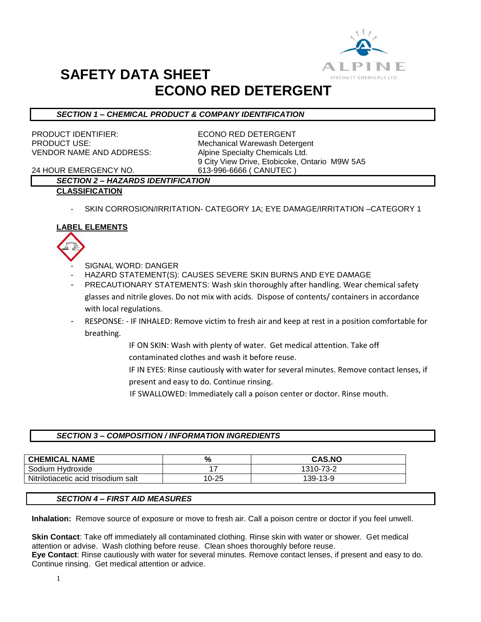

## **SAFETY DATA SHEET ECONO RED DETERGENT**

## *SECTION 1 – CHEMICAL PRODUCT & COMPANY IDENTIFICATION*

PRODUCT IDENTIFIER: ECONO RED DETERGENT VENDOR NAME AND ADDRESS: Alpine Specialty Chemicals Ltd.

PRODUCT USE: Mechanical Warewash Detergent 9 City View Drive, Etobicoke, Ontario M9W 5A5

24 HOUR EMERGENCY NO. 613-996-6666 ( CANUTEC )

#### *SECTION 2 – HAZARDS IDENTIFICATION* **CLASSIFICATION**

SKIN CORROSION/IRRITATION- CATEGORY 1A; EYE DAMAGE/IRRITATION -CATEGORY 1

## **LABEL ELEMENTS**



- SIGNAL WORD: DANGER
- HAZARD STATEMENT(S): CAUSES SEVERE SKIN BURNS AND EYE DAMAGE
- PRECAUTIONARY STATEMENTS: Wash skin thoroughly after handling. Wear chemical safety glasses and nitrile gloves. Do not mix with acids. Dispose of contents/ containers in accordance with local regulations.
- RESPONSE: IF INHALED: Remove victim to fresh air and keep at rest in a position comfortable for breathing.
	- IF ON SKIN: Wash with plenty of water. Get medical attention. Take off contaminated clothes and wash it before reuse.
	- IF IN EYES: Rinse cautiously with water for several minutes. Remove contact lenses, if present and easy to do. Continue rinsing.
	- IF SWALLOWED: Immediately call a poison center or doctor. Rinse mouth.

#### *SECTION 3 – COMPOSITION / INFORMATION INGREDIENTS*

| <b>CHEMICAL NAME</b>                | %     | <b>CAS.NO</b> |
|-------------------------------------|-------|---------------|
| Sodium Hydroxide                    |       | 1310-73-2     |
| Nitrilotiacetic acid trisodium salt | 10-25 | 139-13-9      |

## *SECTION 4 – FIRST AID MEASURES*

**Inhalation:** Remove source of exposure or move to fresh air. Call a poison centre or doctor if you feel unwell.

**Skin Contact**: Take off immediately all contaminated clothing. Rinse skin with water or shower. Get medical attention or advise. Wash clothing before reuse. Clean shoes thoroughly before reuse. **Eye Contact**: Rinse cautiously with water for several minutes. Remove contact lenses, if present and easy to do. Continue rinsing. Get medical attention or advice.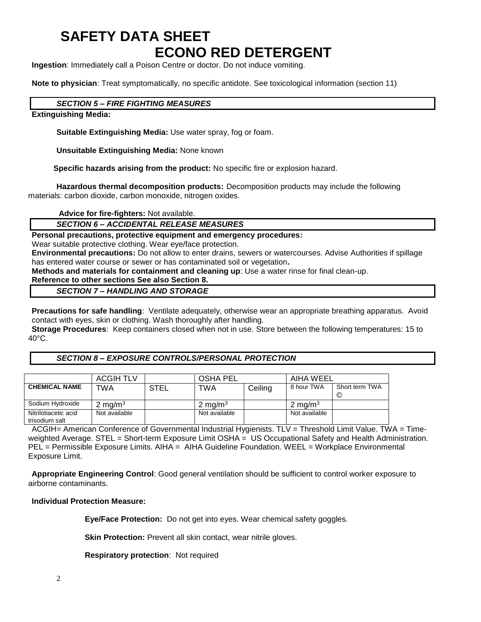# **SAFETY DATA SHEET ECONO RED DETERGENT**

**Ingestion**: Immediately call a Poison Centre or doctor. Do not induce vomiting.

**Note to physician**: Treat symptomatically, no specific antidote. See toxicological information (section 11)

#### *SECTION 5 – FIRE FIGHTING MEASURES*

**Extinguishing Media:**

**Suitable Extinguishing Media:** Use water spray, fog or foam.

**Unsuitable Extinguishing Media:** None known

 **Specific hazards arising from the product:** No specific fire or explosion hazard.

**Hazardous thermal decomposition products:** Decomposition products may include the following materials: carbon dioxide, carbon monoxide, nitrogen oxides.

**Advice for fire-fighters:** Not available.

#### *SECTION 6 – ACCIDENTAL RELEASE MEASURES*

**Personal precautions, protective equipment and emergency procedures:**

Wear suitable protective clothing. Wear eye/face protection.

**Environmental precautions:** Do not allow to enter drains, sewers or watercourses. Advise Authorities if spillage has entered water course or sewer or has contaminated soil or vegetation**.** 

**Methods and materials for containment and cleaning up**: Use a water rinse for final clean-up.

#### **Reference to other sections See also Section 8.**

#### *SECTION 7 – HANDLING AND STORAGE*

**Precautions for safe handling**: Ventilate adequately, otherwise wear an appropriate breathing apparatus. Avoid contact with eyes, skin or clothing. Wash thoroughly after handling.

**Storage Procedures**: Keep containers closed when not in use. Store between the following temperatures: 15 to 40°C.

## *SECTION 8 – EXPOSURE CONTROLS/PERSONAL PROTECTION*

|                      | <b>ACGIH TLV</b> |      | <b>OSHA PEL</b>    |         | AIHA WEEL          |                     |
|----------------------|------------------|------|--------------------|---------|--------------------|---------------------|
| <b>CHEMICAL NAME</b> | TWA              | STEL | TWA                | Ceiling | 8 hour TWA         | Short term TWA<br>C |
|                      |                  |      |                    |         |                    |                     |
| Sodium Hydroxide     | 2 mg/m $3$       |      | $2 \text{ mg/m}^3$ |         | $2 \text{ mg/m}^3$ |                     |
| Nitrilotiacetic acid | Not available    |      | Not available      |         | Not available      |                     |
| trisodium salt       |                  |      |                    |         |                    |                     |

ACGIH= American Conference of Governmental Industrial Hygienists. TLV = Threshold Limit Value. TWA = Timeweighted Average. STEL = Short-term Exposure Limit OSHA = US Occupational Safety and Health Administration. PEL = Permissible Exposure Limits. AIHA = AIHA Guideline Foundation. WEEL = Workplace Environmental Exposure Limit.

**Appropriate Engineering Control**: Good general ventilation should be sufficient to control worker exposure to airborne contaminants.

## **Individual Protection Measure:**

**Eye/Face Protection:** Do not get into eyes. Wear chemical safety goggles.

**Skin Protection:** Prevent all skin contact, wear nitrile gloves.

**Respiratory protection**: Not required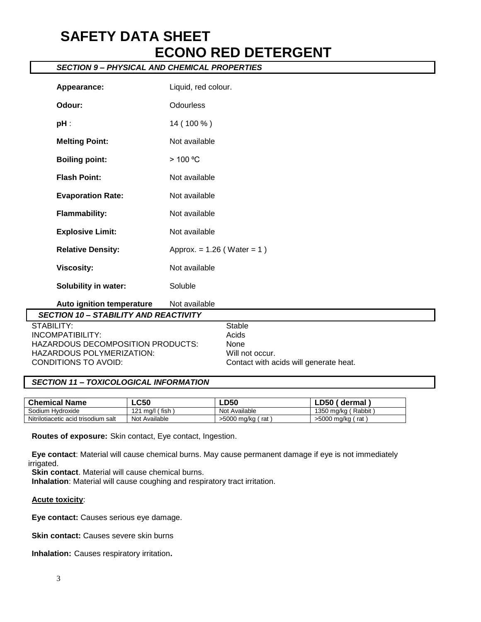## **SAFETY DATA SHEET ECONO RED DETERGENT**

## *SECTION 9 – PHYSICAL AND CHEMICAL PROPERTIES*

| Appearance:                                  | Liquid, red colour.             |                                        |
|----------------------------------------------|---------------------------------|----------------------------------------|
| Odour:                                       | <b>Odourless</b>                |                                        |
| $pH$ :                                       | 14 (100 %)                      |                                        |
| <b>Melting Point:</b>                        | Not available                   |                                        |
| <b>Boiling point:</b>                        | $>100$ °C                       |                                        |
| <b>Flash Point:</b>                          | Not available                   |                                        |
| <b>Evaporation Rate:</b>                     | Not available                   |                                        |
| <b>Flammability:</b>                         | Not available                   |                                        |
| <b>Explosive Limit:</b>                      | Not available                   |                                        |
| <b>Relative Density:</b>                     | Approx. = $1.26$ (Water = $1$ ) |                                        |
| <b>Viscosity:</b>                            | Not available                   |                                        |
| <b>Solubility in water:</b>                  | Soluble                         |                                        |
| Auto ignition temperature                    | Not available                   |                                        |
| <b>SECTION 10 - STABILITY AND REACTIVITY</b> |                                 |                                        |
| STABILITY:                                   |                                 | <b>Stable</b>                          |
| <b>INCOMPATIBILITY:</b>                      |                                 | Acids                                  |
| HAZARDOUS DECOMPOSITION PRODUCTS:            |                                 | None                                   |
| HAZARDOUS POLYMERIZATION:                    |                                 | Will not occur.                        |
| CONDITIONS TO AVOID:                         |                                 | Contact with acids will generate heat. |

#### *SECTION 11 – TOXICOLOGICAL INFORMATION*

| <b>Chemical Name</b>                   | $\mathsf{LC50}$ | <b>LD50</b>        | D50.<br>dermal        |
|----------------------------------------|-----------------|--------------------|-----------------------|
| Sodium Hydroxide                       | fish<br>, ma/l  | Not Available      | 1350 ma/ka ( Rabbit ) |
| Nitrilotiacetic acid trisodium<br>salt | Not Available   | >5000 mg/kg<br>rat | >5000 mg/kg<br>rat    |

**Routes of exposure:** Skin contact, Eye contact, Ingestion.

**Eye contact**: Material will cause chemical burns. May cause permanent damage if eye is not immediately irrigated.

**Skin contact**. Material will cause chemical burns.

**Inhalation**: Material will cause coughing and respiratory tract irritation.

#### **Acute toxicity**:

**Eye contact:** Causes serious eye damage.

**Skin contact:** Causes severe skin burns

**Inhalation:** Causes respiratory irritation**.**